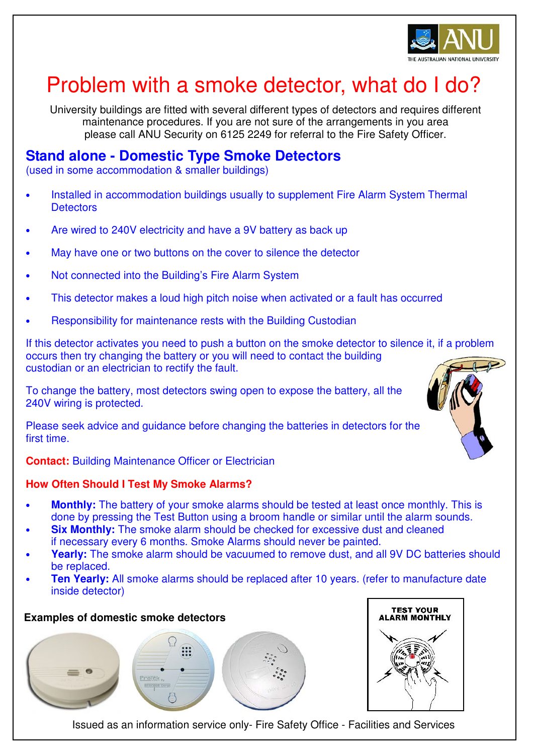

# Problem with a smoke detector, what do I do?

University buildings are fitted with several different types of detectors and requires different maintenance procedures. If you are not sure of the arrangements in you area please call ANU Security on 6125 2249 for referral to the Fire Safety Officer.

# **Stand alone - Domestic Type Smoke Detectors**

(used in some accommodation & smaller buildings)

- Installed in accommodation buildings usually to supplement Fire Alarm System Thermal **Detectors**
- Are wired to 240V electricity and have a 9V battery as back up
- May have one or two buttons on the cover to silence the detector
- Not connected into the Building's Fire Alarm System
- This detector makes a loud high pitch noise when activated or a fault has occurred
- Responsibility for maintenance rests with the Building Custodian

If this detector activates you need to push a button on the smoke detector to silence it, if a problem occurs then try changing the battery or you will need to contact the building custodian or an electrician to rectify the fault.

To change the battery, most detectors swing open to expose the battery, all the 240V wiring is protected.

Please seek advice and guidance before changing the batteries in detectors for the first time.

**Contact: Building Maintenance Officer or Electrician** 

## **How Often Should I Test My Smoke Alarms?**

- **Monthly:** The battery of your smoke alarms should be tested at least once monthly. This is done by pressing the Test Button using a broom handle or similar until the alarm sounds.
- **Six Monthly:** The smoke alarm should be checked for excessive dust and cleaned if necessary every 6 months. Smoke Alarms should never be painted.
- **Yearly:** The smoke alarm should be vacuumed to remove dust, and all 9V DC batteries should be replaced.
- **Ten Yearly:** All smoke alarms should be replaced after 10 years. (refer to manufacture date inside detector)

## **Examples of domestic smoke detectors**





Issued as an information service only- Fire Safety Office - Facilities and Services